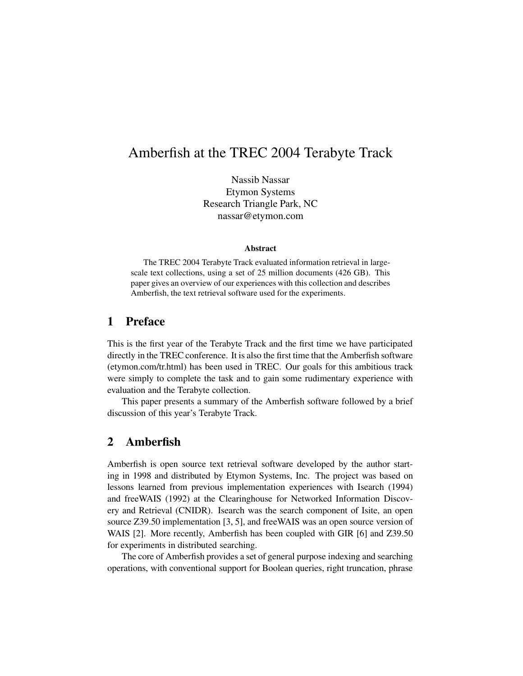# Amberfish at the TREC 2004 Terabyte Track

Nassib Nassar Etymon Systems Research Triangle Park, NC nassar@etymon.com

#### **Abstract**

The TREC 2004 Terabyte Track evaluated information retrieval in largescale text collections, using a set of 25 million documents (426 GB). This paper gives an overview of our experiences with this collection and describes Amberfish, the text retrieval software used for the experiments.

## **1 Preface**

This is the first year of the Terabyte Track and the first time we have participated directly in the TREC conference. It is also the first time that the Amberfish software (etymon.com/tr.html) has been used in TREC. Our goals for this ambitious track were simply to complete the task and to gain some rudimentary experience with evaluation and the Terabyte collection.

This paper presents a summary of the Amberfish software followed by a brief discussion of this year's Terabyte Track.

### **2 Amberfish**

Amberfish is open source text retrieval software developed by the author starting in 1998 and distributed by Etymon Systems, Inc. The project was based on lessons learned from previous implementation experiences with Isearch (1994) and freeWAIS (1992) at the Clearinghouse for Networked Information Discovery and Retrieval (CNIDR). Isearch was the search component of Isite, an open source Z39.50 implementation [3, 5], and freeWAIS was an open source version of WAIS [2]. More recently, Amberfish has been coupled with GIR [6] and Z39.50 for experiments in distributed searching.

The core of Amberfish provides a set of general purpose indexing and searching operations, with conventional support for Boolean queries, right truncation, phrase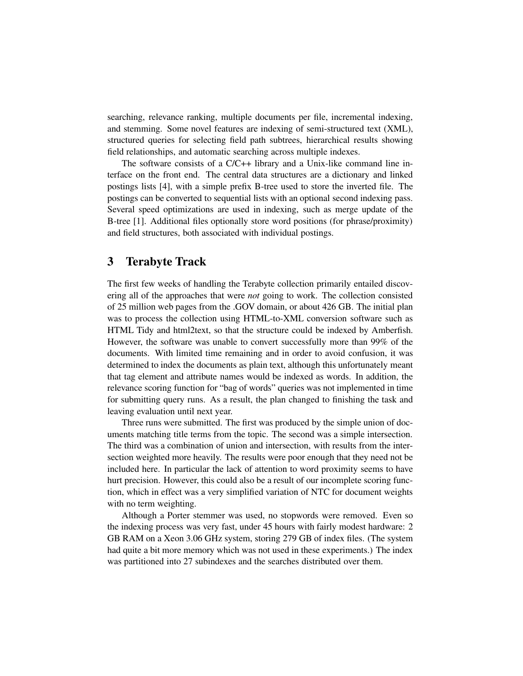searching, relevance ranking, multiple documents per file, incremental indexing, and stemming. Some novel features are indexing of semi-structured text (XML), structured queries for selecting field path subtrees, hierarchical results showing field relationships, and automatic searching across multiple indexes.

The software consists of a C/C++ library and a Unix-like command line interface on the front end. The central data structures are a dictionary and linked postings lists [4], with a simple prefix B-tree used to store the inverted file. The postings can be converted to sequential lists with an optional second indexing pass. Several speed optimizations are used in indexing, such as merge update of the B-tree [1]. Additional files optionally store word positions (for phrase/proximity) and field structures, both associated with individual postings.

### **3 Terabyte Track**

The first few weeks of handling the Terabyte collection primarily entailed discovering all of the approaches that were *not* going to work. The collection consisted of 25 million web pages from the .GOV domain, or about 426 GB. The initial plan was to process the collection using HTML-to-XML conversion software such as HTML Tidy and html2text, so that the structure could be indexed by Amberfish. However, the software was unable to convert successfully more than 99% of the documents. With limited time remaining and in order to avoid confusion, it was determined to index the documents as plain text, although this unfortunately meant that tag element and attribute names would be indexed as words. In addition, the relevance scoring function for "bag of words" queries was not implemented in time for submitting query runs. As a result, the plan changed to finishing the task and leaving evaluation until next year.

Three runs were submitted. The first was produced by the simple union of documents matching title terms from the topic. The second was a simple intersection. The third was a combination of union and intersection, with results from the intersection weighted more heavily. The results were poor enough that they need not be included here. In particular the lack of attention to word proximity seems to have hurt precision. However, this could also be a result of our incomplete scoring function, which in effect was a very simplified variation of NTC for document weights with no term weighting.

Although a Porter stemmer was used, no stopwords were removed. Even so the indexing process was very fast, under 45 hours with fairly modest hardware: 2 GB RAM on a Xeon 3.06 GHz system, storing 279 GB of index files. (The system had quite a bit more memory which was not used in these experiments.) The index was partitioned into 27 subindexes and the searches distributed over them.